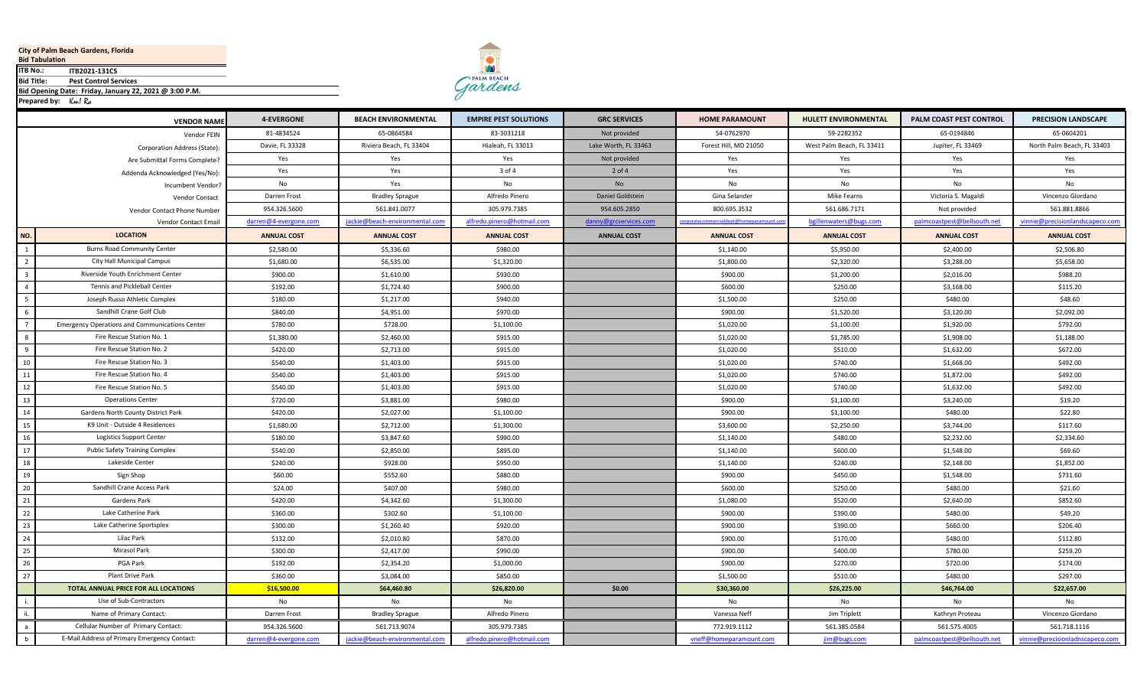## **City of Palm Beach Gardens, Florida**

**Bid Tabulation**

**ITB2021-131CS ITB No.:**

**Pest Control Services Bid Title:**

**Bid Opening Date: Friday, January 22, 2021 @ 3:00 P.M.**

Km! Ra **Prepared by:** 



Gardens